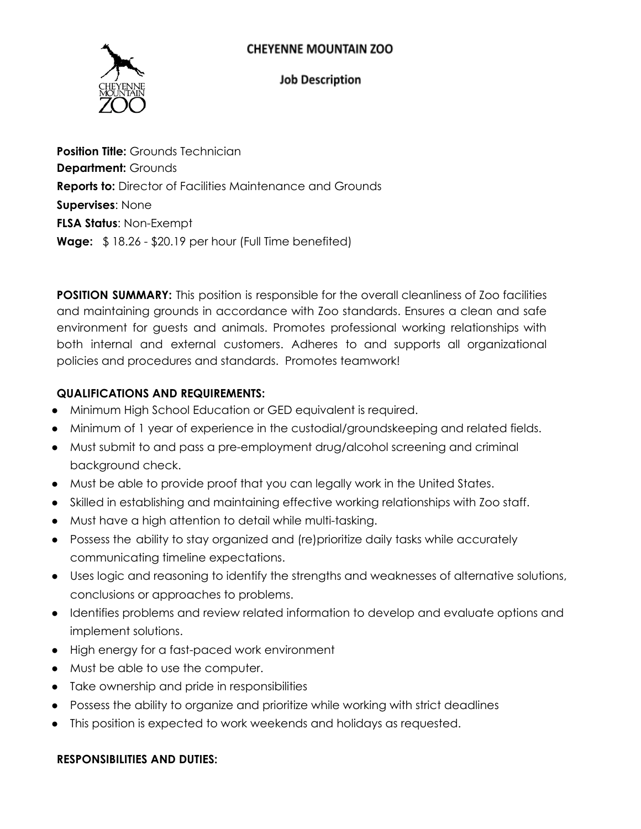

#### **Job Description**

**Position Title:** Grounds Technician **Department:** Grounds **Reports to:** Director of Facilities Maintenance and Grounds **Supervises**: None **FLSA Status**: Non-Exempt **Wage:** \$ 18.26 - \$20.19 per hour (Full Time benefited)

**POSITION SUMMARY:** This position is responsible for the overall cleanliness of Zoo facilities and maintaining grounds in accordance with Zoo standards. Ensures a clean and safe environment for guests and animals. Promotes professional working relationships with both internal and external customers. Adheres to and supports all organizational policies and procedures and standards. Promotes teamwork!

## **QUALIFICATIONS AND REQUIREMENTS:**

- Minimum High School Education or GED equivalent is required.
- Minimum of 1 year of experience in the custodial/groundskeeping and related fields.
- Must submit to and pass a pre-employment drug/alcohol screening and criminal background check.
- Must be able to provide proof that you can legally work in the United States.
- Skilled in establishing and maintaining effective working relationships with Zoo staff.
- Must have a high attention to detail while multi-tasking.
- Possess the ability to stay organized and (re)prioritize daily tasks while accurately communicating timeline expectations.
- Uses logic and reasoning to identify the strengths and weaknesses of alternative solutions, conclusions or approaches to problems.
- Identifies problems and review related information to develop and evaluate options and implement solutions.
- High energy for a fast-paced work environment
- Must be able to use the computer.
- Take ownership and pride in responsibilities
- Possess the ability to organize and prioritize while working with strict deadlines
- This position is expected to work weekends and holidays as requested.

#### **RESPONSIBILITIES AND DUTIES:**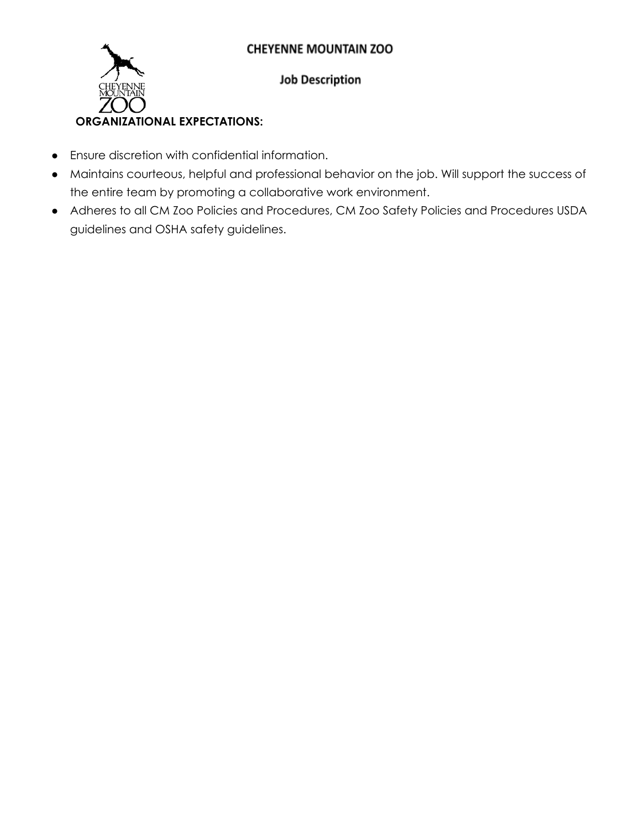

# **Job Description**

## ● Ensure discretion with confidential information.

- Maintains courteous, helpful and professional behavior on the job. Will support the success of the entire team by promoting a collaborative work environment.
- Adheres to all CM Zoo Policies and Procedures, CM Zoo Safety Policies and Procedures USDA guidelines and OSHA safety guidelines.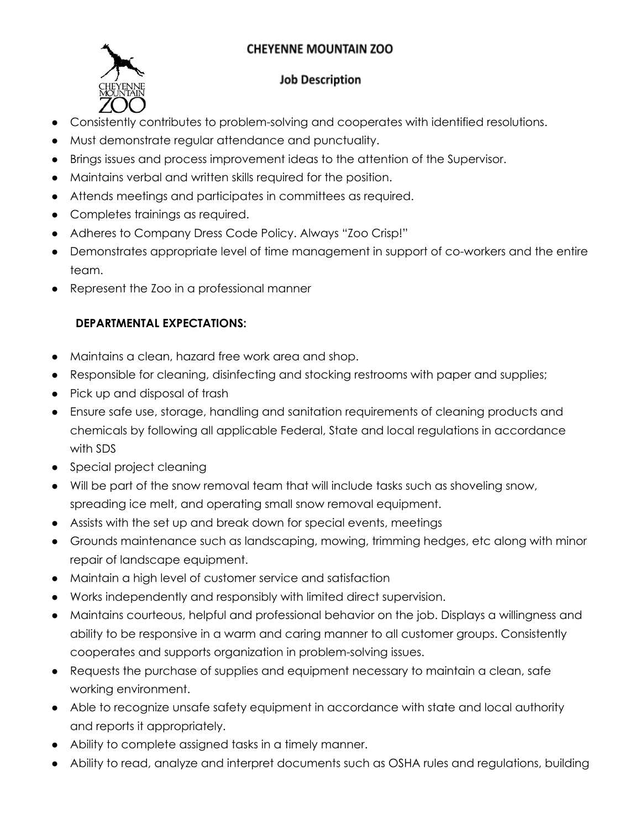

### **Job Description**

- Consistently contributes to problem-solving and cooperates with identified resolutions.
- Must demonstrate regular attendance and punctuality.
- Brings issues and process improvement ideas to the attention of the Supervisor.
- Maintains verbal and written skills required for the position.
- Attends meetings and participates in committees as required.
- Completes trainings as required.
- Adheres to Company Dress Code Policy. Always "Zoo Crisp!"
- Demonstrates appropriate level of time management in support of co-workers and the entire team.
- Represent the Zoo in a professional manner

## **DEPARTMENTAL EXPECTATIONS:**

- Maintains a clean, hazard free work area and shop.
- Responsible for cleaning, disinfecting and stocking restrooms with paper and supplies;
- Pick up and disposal of trash
- Ensure safe use, storage, handling and sanitation requirements of cleaning products and chemicals by following all applicable Federal, State and local regulations in accordance with SDS
- Special project cleaning
- Will be part of the snow removal team that will include tasks such as shoveling snow, spreading ice melt, and operating small snow removal equipment.
- Assists with the set up and break down for special events, meetings
- Grounds maintenance such as landscaping, mowing, trimming hedges, etc along with minor repair of landscape equipment.
- Maintain a high level of customer service and satisfaction
- Works independently and responsibly with limited direct supervision.
- Maintains courteous, helpful and professional behavior on the job. Displays a willingness and ability to be responsive in a warm and caring manner to all customer groups. Consistently cooperates and supports organization in problem-solving issues.
- Requests the purchase of supplies and equipment necessary to maintain a clean, safe working environment.
- Able to recognize unsafe safety equipment in accordance with state and local authority and reports it appropriately.
- Ability to complete assigned tasks in a timely manner.
- Ability to read, analyze and interpret documents such as OSHA rules and regulations, building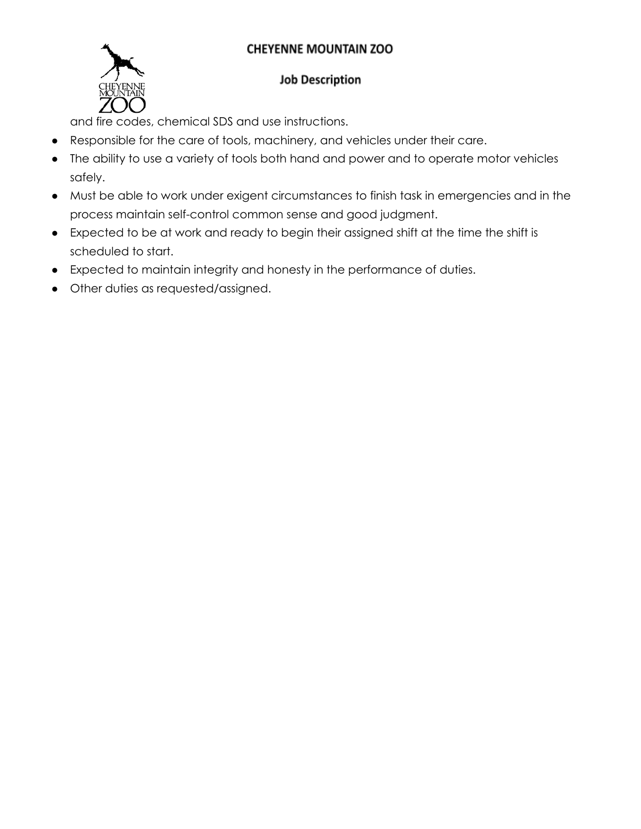

## **Job Description**

and fire codes, chemical SDS and use instructions.

- Responsible for the care of tools, machinery, and vehicles under their care.
- The ability to use a variety of tools both hand and power and to operate motor vehicles safely.
- Must be able to work under exigent circumstances to finish task in emergencies and in the process maintain self-control common sense and good judgment.
- Expected to be at work and ready to begin their assigned shift at the time the shift is scheduled to start.
- Expected to maintain integrity and honesty in the performance of duties.
- Other duties as requested/assigned.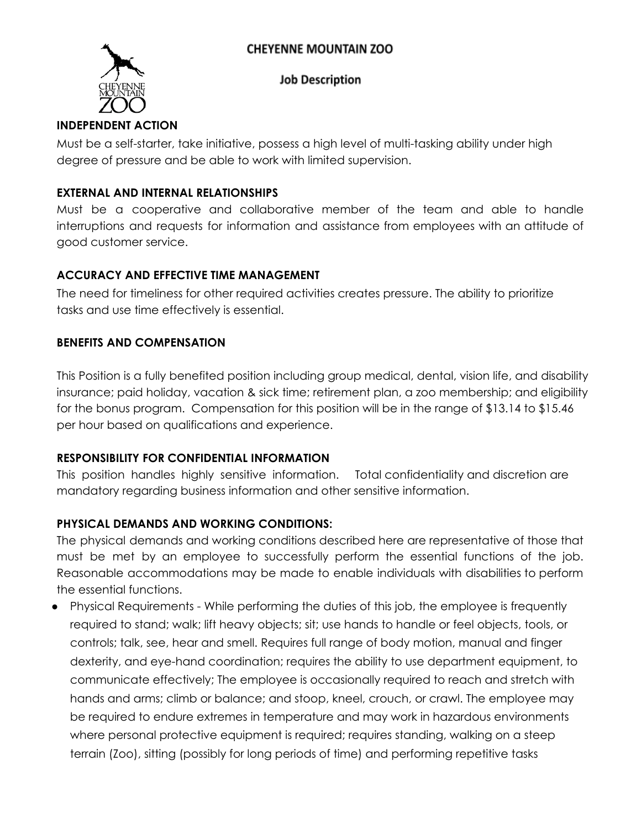

#### **Job Description**

# **INDEPENDENT ACTION**

Must be a self-starter, take initiative, possess a high level of multi-tasking ability under high degree of pressure and be able to work with limited supervision.

### **EXTERNAL AND INTERNAL RELATIONSHIPS**

Must be a cooperative and collaborative member of the team and able to handle interruptions and requests for information and assistance from employees with an attitude of good customer service.

## **ACCURACY AND EFFECTIVE TIME MANAGEMENT**

The need for timeliness for other required activities creates pressure. The ability to prioritize tasks and use time effectively is essential.

## **BENEFITS AND COMPENSATION**

This Position is a fully benefited position including group medical, dental, vision life, and disability insurance; paid holiday, vacation & sick time; retirement plan, a zoo membership; and eligibility for the bonus program. Compensation for this position will be in the range of \$13.14 to \$15.46 per hour based on qualifications and experience.

## **RESPONSIBILITY FOR CONFIDENTIAL INFORMATION**

This position handles highly sensitive information. Total confidentiality and discretion are mandatory regarding business information and other sensitive information.

## **PHYSICAL DEMANDS AND WORKING CONDITIONS:**

The physical demands and working conditions described here are representative of those that must be met by an employee to successfully perform the essential functions of the job. Reasonable accommodations may be made to enable individuals with disabilities to perform the essential functions.

● Physical Requirements - While performing the duties of this job, the employee is frequently required to stand; walk; lift heavy objects; sit; use hands to handle or feel objects, tools, or controls; talk, see, hear and smell. Requires full range of body motion, manual and finger dexterity, and eye-hand coordination; requires the ability to use department equipment, to communicate effectively; The employee is occasionally required to reach and stretch with hands and arms; climb or balance; and stoop, kneel, crouch, or crawl. The employee may be required to endure extremes in temperature and may work in hazardous environments where personal protective equipment is required; requires standing, walking on a steep terrain (Zoo), sitting (possibly for long periods of time) and performing repetitive tasks